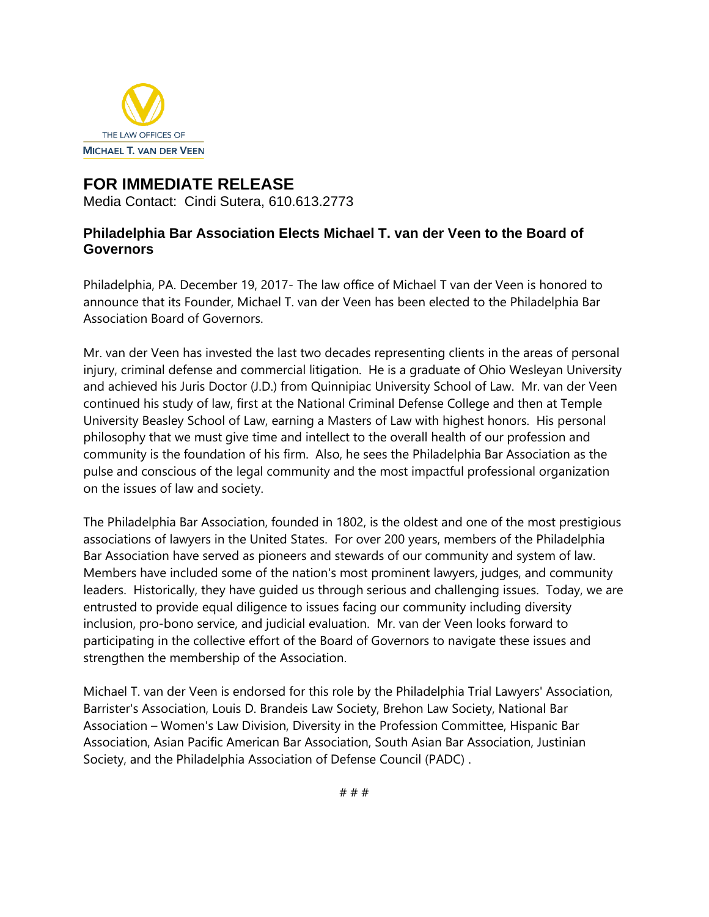

## **FOR IMMEDIATE RELEASE**

Media Contact: Cindi Sutera, 610.613.2773

## **Philadelphia Bar Association Elects Michael T. van der Veen to the Board of Governors**

Philadelphia, PA. December 19, 2017- The law office of Michael T van der Veen is honored to announce that its Founder, Michael T. van der Veen has been elected to the Philadelphia Bar Association Board of Governors.

Mr. van der Veen has invested the last two decades representing clients in the areas of personal injury, criminal defense and commercial litigation. He is a graduate of Ohio Wesleyan University and achieved his Juris Doctor (J.D.) from Quinnipiac University School of Law. Mr. van der Veen continued his study of law, first at the National Criminal Defense College and then at Temple University Beasley School of Law, earning a Masters of Law with highest honors. His personal philosophy that we must give time and intellect to the overall health of our profession and community is the foundation of his firm. Also, he sees the Philadelphia Bar Association as the pulse and conscious of the legal community and the most impactful professional organization on the issues of law and society.

The Philadelphia Bar Association, founded in 1802, is the oldest and one of the most prestigious associations of lawyers in the United States. For over 200 years, members of the Philadelphia Bar Association have served as pioneers and stewards of our community and system of law. Members have included some of the nation's most prominent lawyers, judges, and community leaders. Historically, they have guided us through serious and challenging issues. Today, we are entrusted to provide equal diligence to issues facing our community including diversity inclusion, pro-bono service, and judicial evaluation. Mr. van der Veen looks forward to participating in the collective effort of the Board of Governors to navigate these issues and strengthen the membership of the Association.

Michael T. van der Veen is endorsed for this role by the Philadelphia Trial Lawyers' Association, Barrister's Association, Louis D. Brandeis Law Society, Brehon Law Society, National Bar Association – Women's Law Division, Diversity in the Profession Committee, Hispanic Bar Association, Asian Pacific American Bar Association, South Asian Bar Association, Justinian Society, and the Philadelphia Association of Defense Council (PADC) .